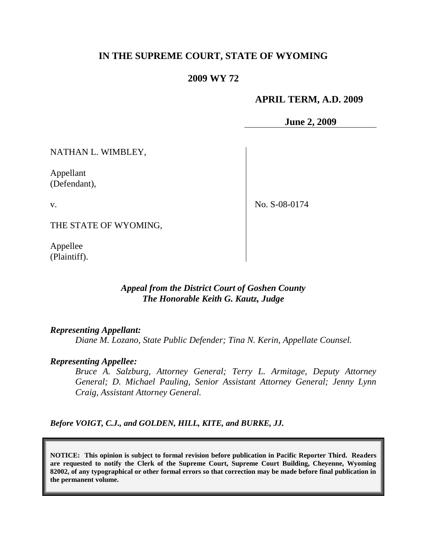# **IN THE SUPREME COURT, STATE OF WYOMING**

### **2009 WY 72**

### **APRIL TERM, A.D. 2009**

**June 2, 2009**

NATHAN L. WIMBLEY,

Appellant (Defendant),

v.

No. S-08-0174

THE STATE OF WYOMING,

Appellee (Plaintiff).

## *Appeal from the District Court of Goshen County The Honorable Keith G. Kautz, Judge*

#### *Representing Appellant:*

*Diane M. Lozano, State Public Defender; Tina N. Kerin, Appellate Counsel.*

#### *Representing Appellee:*

*Bruce A. Salzburg, Attorney General; Terry L. Armitage, Deputy Attorney General; D. Michael Pauling, Senior Assistant Attorney General; Jenny Lynn Craig, Assistant Attorney General.*

*Before VOIGT, C.J., and GOLDEN, HILL, KITE, and BURKE, JJ.*

**NOTICE: This opinion is subject to formal revision before publication in Pacific Reporter Third. Readers are requested to notify the Clerk of the Supreme Court, Supreme Court Building, Cheyenne, Wyoming 82002, of any typographical or other formal errors so that correction may be made before final publication in the permanent volume.**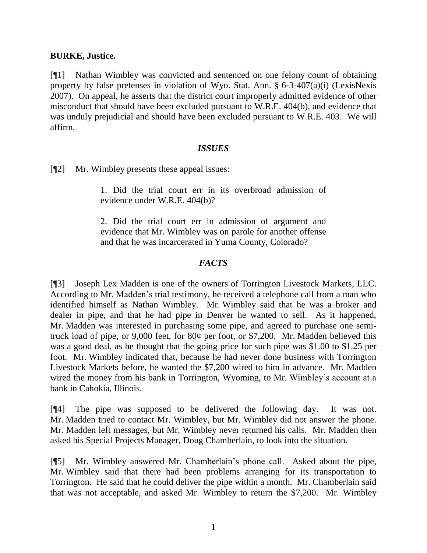#### **BURKE, Justice.**

[¶1] Nathan Wimbley was convicted and sentenced on one felony count of obtaining property by false pretenses in violation of Wyo. Stat. Ann. § 6-3-407(a)(i) (LexisNexis 2007). On appeal, he asserts that the district court improperly admitted evidence of other misconduct that should have been excluded pursuant to W.R.E. 404(b), and evidence that was unduly prejudicial and should have been excluded pursuant to W.R.E. 403. We will affirm.

### *ISSUES*

[¶2] Mr. Wimbley presents these appeal issues:

1. Did the trial court err in its overbroad admission of evidence under W.R.E. 404(b)?

2. Did the trial court err in admission of argument and evidence that Mr. Wimbley was on parole for another offense and that he was incarcerated in Yuma County, Colorado?

# *FACTS*

[¶3] Joseph Lex Madden is one of the owners of Torrington Livestock Markets, LLC. According to Mr. Madden"s trial testimony, he received a telephone call from a man who identified himself as Nathan Wimbley. Mr. Wimbley said that he was a broker and dealer in pipe, and that he had pipe in Denver he wanted to sell. As it happened, Mr. Madden was interested in purchasing some pipe, and agreed to purchase one semitruck load of pipe, or 9,000 feet, for 80¢ per foot, or \$7,200. Mr. Madden believed this was a good deal, as he thought that the going price for such pipe was \$1.00 to \$1.25 per foot. Mr. Wimbley indicated that, because he had never done business with Torrington Livestock Markets before, he wanted the \$7,200 wired to him in advance. Mr. Madden wired the money from his bank in Torrington, Wyoming, to Mr. Wimbley's account at a bank in Cahokia, Illinois.

[¶4] The pipe was supposed to be delivered the following day. It was not. Mr. Madden tried to contact Mr. Wimbley, but Mr. Wimbley did not answer the phone. Mr. Madden left messages, but Mr. Wimbley never returned his calls. Mr. Madden then asked his Special Projects Manager, Doug Chamberlain, to look into the situation.

[¶5] Mr. Wimbley answered Mr. Chamberlain"s phone call. Asked about the pipe, Mr. Wimbley said that there had been problems arranging for its transportation to Torrington. He said that he could deliver the pipe within a month. Mr. Chamberlain said that was not acceptable, and asked Mr. Wimbley to return the \$7,200. Mr. Wimbley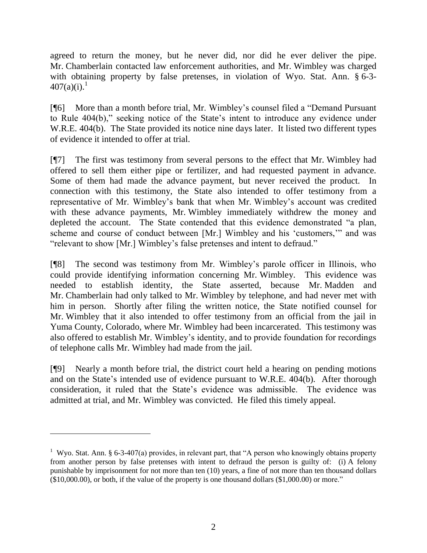agreed to return the money, but he never did, nor did he ever deliver the pipe. Mr. Chamberlain contacted law enforcement authorities, and Mr. Wimbley was charged with obtaining property by false pretenses, in violation of Wyo. Stat. Ann. § 6-3-  $407(a)(i).<sup>1</sup>$ 

[¶6] More than a month before trial, Mr. Wimbley"s counsel filed a "Demand Pursuant to Rule 404(b)," seeking notice of the State's intent to introduce any evidence under W.R.E. 404(b). The State provided its notice nine days later. It listed two different types of evidence it intended to offer at trial.

[¶7] The first was testimony from several persons to the effect that Mr. Wimbley had offered to sell them either pipe or fertilizer, and had requested payment in advance. Some of them had made the advance payment, but never received the product. In connection with this testimony, the State also intended to offer testimony from a representative of Mr. Wimbley"s bank that when Mr. Wimbley"s account was credited with these advance payments, Mr. Wimbley immediately withdrew the money and depleted the account. The State contended that this evidence demonstrated "a plan, scheme and course of conduct between [Mr.] Wimbley and his "customers,"" and was "relevant to show [Mr.] Wimbley"s false pretenses and intent to defraud."

[¶8] The second was testimony from Mr. Wimbley"s parole officer in Illinois, who could provide identifying information concerning Mr. Wimbley. This evidence was needed to establish identity, the State asserted, because Mr. Madden and Mr. Chamberlain had only talked to Mr. Wimbley by telephone, and had never met with him in person. Shortly after filing the written notice, the State notified counsel for Mr. Wimbley that it also intended to offer testimony from an official from the jail in Yuma County, Colorado, where Mr. Wimbley had been incarcerated. This testimony was also offered to establish Mr. Wimbley"s identity, and to provide foundation for recordings of telephone calls Mr. Wimbley had made from the jail.

[¶9] Nearly a month before trial, the district court held a hearing on pending motions and on the State's intended use of evidence pursuant to W.R.E. 404(b). After thorough consideration, it ruled that the State"s evidence was admissible. The evidence was admitted at trial, and Mr. Wimbley was convicted. He filed this timely appeal.

 $\overline{a}$ 

<sup>&</sup>lt;sup>1</sup> Wyo. Stat. Ann. § 6-3-407(a) provides, in relevant part, that "A person who knowingly obtains property from another person by false pretenses with intent to defraud the person is guilty of: (i) A felony punishable by imprisonment for not more than ten (10) years, a fine of not more than ten thousand dollars (\$10,000.00), or both, if the value of the property is one thousand dollars (\$1,000.00) or more."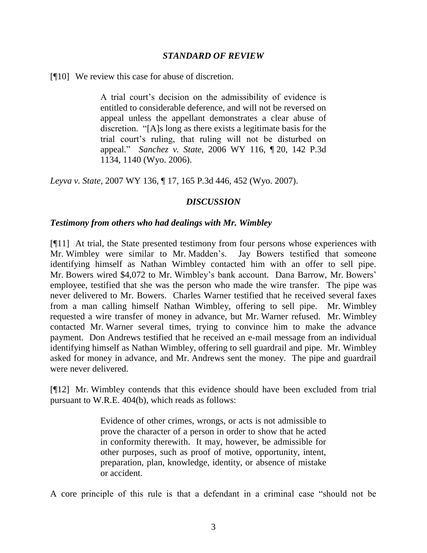#### *STANDARD OF REVIEW*

[¶10] We review this case for abuse of discretion.

A trial court"s decision on the admissibility of evidence is entitled to considerable deference, and will not be reversed on appeal unless the appellant demonstrates a clear abuse of discretion. "[A]s long as there exists a legitimate basis for the trial court"s ruling, that ruling will not be disturbed on appeal." *Sanchez v. State*, 2006 WY 116, ¶ 20, 142 P.3d 1134, 1140 (Wyo. 2006).

*Leyva v. State*, 2007 WY 136, ¶ 17, 165 P.3d 446, 452 (Wyo. 2007).

#### *DISCUSSION*

#### *Testimony from others who had dealings with Mr. Wimbley*

[¶11] At trial, the State presented testimony from four persons whose experiences with Mr. Wimbley were similar to Mr. Madden"s. Jay Bowers testified that someone identifying himself as Nathan Wimbley contacted him with an offer to sell pipe. Mr. Bowers wired \$4,072 to Mr. Wimbley's bank account. Dana Barrow, Mr. Bowers' employee, testified that she was the person who made the wire transfer. The pipe was never delivered to Mr. Bowers. Charles Warner testified that he received several faxes from a man calling himself Nathan Wimbley, offering to sell pipe. Mr. Wimbley requested a wire transfer of money in advance, but Mr. Warner refused. Mr. Wimbley contacted Mr. Warner several times, trying to convince him to make the advance payment. Don Andrews testified that he received an e-mail message from an individual identifying himself as Nathan Wimbley, offering to sell guardrail and pipe. Mr. Wimbley asked for money in advance, and Mr. Andrews sent the money. The pipe and guardrail were never delivered.

[¶12] Mr. Wimbley contends that this evidence should have been excluded from trial pursuant to W.R.E. 404(b), which reads as follows:

> Evidence of other crimes, wrongs, or acts is not admissible to prove the character of a person in order to show that he acted in conformity therewith. It may, however, be admissible for other purposes, such as proof of motive, opportunity, intent, preparation, plan, knowledge, identity, or absence of mistake or accident.

A core principle of this rule is that a defendant in a criminal case "should not be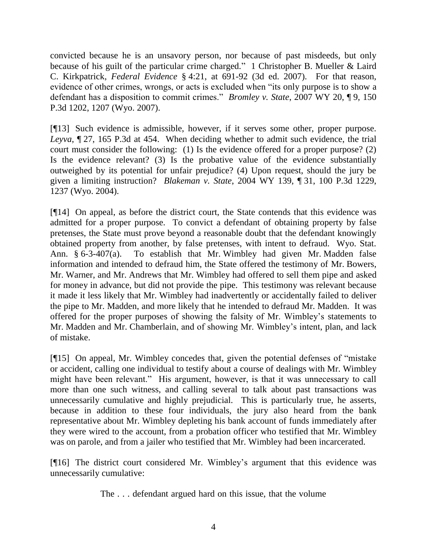convicted because he is an unsavory person, nor because of past misdeeds, but only because of his guilt of the particular crime charged." 1 Christopher B. Mueller & Laird C. Kirkpatrick, *Federal Evidence* § 4:21, at 691-92 (3d ed. 2007). For that reason, evidence of other crimes, wrongs, or acts is excluded when "its only purpose is to show a defendant has a disposition to commit crimes." *Bromley v. State*, 2007 WY 20, ¶ 9, 150 P.3d 1202, 1207 (Wyo. 2007).

[¶13] Such evidence is admissible, however, if it serves some other, proper purpose. *Leyva*, ¶ 27, 165 P.3d at 454. When deciding whether to admit such evidence, the trial court must consider the following: (1) Is the evidence offered for a proper purpose? (2) Is the evidence relevant? (3) Is the probative value of the evidence substantially outweighed by its potential for unfair prejudice? (4) Upon request, should the jury be given a limiting instruction? *Blakeman v. State*, 2004 WY 139, ¶ 31, 100 P.3d 1229, 1237 (Wyo. 2004).

[¶14] On appeal, as before the district court, the State contends that this evidence was admitted for a proper purpose. To convict a defendant of obtaining property by false pretenses, the State must prove beyond a reasonable doubt that the defendant knowingly obtained property from another, by false pretenses, with intent to defraud. Wyo. Stat. Ann. § 6-3-407(a). To establish that Mr. Wimbley had given Mr. Madden false information and intended to defraud him, the State offered the testimony of Mr. Bowers, Mr. Warner, and Mr. Andrews that Mr. Wimbley had offered to sell them pipe and asked for money in advance, but did not provide the pipe. This testimony was relevant because it made it less likely that Mr. Wimbley had inadvertently or accidentally failed to deliver the pipe to Mr. Madden, and more likely that he intended to defraud Mr. Madden. It was offered for the proper purposes of showing the falsity of Mr. Wimbley"s statements to Mr. Madden and Mr. Chamberlain, and of showing Mr. Wimbley"s intent, plan, and lack of mistake.

[¶15] On appeal, Mr. Wimbley concedes that, given the potential defenses of "mistake or accident, calling one individual to testify about a course of dealings with Mr. Wimbley might have been relevant." His argument, however, is that it was unnecessary to call more than one such witness, and calling several to talk about past transactions was unnecessarily cumulative and highly prejudicial. This is particularly true, he asserts, because in addition to these four individuals, the jury also heard from the bank representative about Mr. Wimbley depleting his bank account of funds immediately after they were wired to the account, from a probation officer who testified that Mr. Wimbley was on parole, and from a jailer who testified that Mr. Wimbley had been incarcerated.

[¶16] The district court considered Mr. Wimbley's argument that this evidence was unnecessarily cumulative:

The . . . defendant argued hard on this issue, that the volume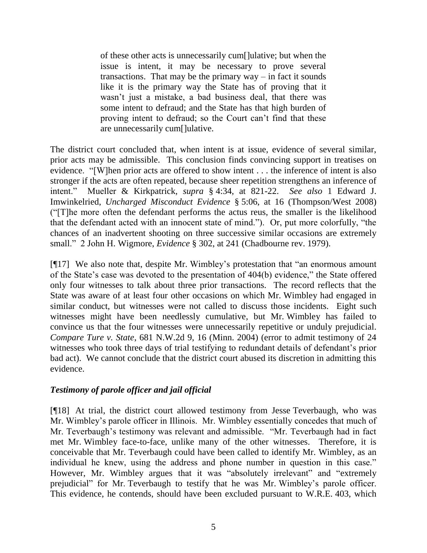of these other acts is unnecessarily cum[]ulative; but when the issue is intent, it may be necessary to prove several transactions. That may be the primary  $way - in fact it sounds$ like it is the primary way the State has of proving that it wasn"t just a mistake, a bad business deal, that there was some intent to defraud; and the State has that high burden of proving intent to defraud; so the Court can"t find that these are unnecessarily cum[]ulative.

The district court concluded that, when intent is at issue, evidence of several similar, prior acts may be admissible. This conclusion finds convincing support in treatises on evidence. "[W]hen prior acts are offered to show intent . . . the inference of intent is also stronger if the acts are often repeated, because sheer repetition strengthens an inference of intent." Mueller & Kirkpatrick, *supra* § 4:34, at 821-22. *See also* 1 Edward J. Imwinkelried, *Uncharged Misconduct Evidence* § 5:06, at 16 (Thompson/West 2008) ("[T]he more often the defendant performs the actus reus, the smaller is the likelihood that the defendant acted with an innocent state of mind."). Or, put more colorfully, "the chances of an inadvertent shooting on three successive similar occasions are extremely small." 2 John H. Wigmore, *Evidence* § 302, at 241 (Chadbourne rev. 1979).

[¶17] We also note that, despite Mr. Wimbley"s protestation that "an enormous amount of the State"s case was devoted to the presentation of 404(b) evidence," the State offered only four witnesses to talk about three prior transactions. The record reflects that the State was aware of at least four other occasions on which Mr. Wimbley had engaged in similar conduct, but witnesses were not called to discuss those incidents. Eight such witnesses might have been needlessly cumulative, but Mr. Wimbley has failed to convince us that the four witnesses were unnecessarily repetitive or unduly prejudicial. *Compare Ture v. State*, 681 N.W.2d 9, 16 (Minn. 2004) (error to admit testimony of 24 witnesses who took three days of trial testifying to redundant details of defendant's prior bad act). We cannot conclude that the district court abused its discretion in admitting this evidence.

# *Testimony of parole officer and jail official*

[¶18] At trial, the district court allowed testimony from Jesse Teverbaugh, who was Mr. Wimbley"s parole officer in Illinois. Mr. Wimbley essentially concedes that much of Mr. Teverbaugh"s testimony was relevant and admissible. "Mr. Teverbaugh had in fact met Mr. Wimbley face-to-face, unlike many of the other witnesses. Therefore, it is conceivable that Mr. Teverbaugh could have been called to identify Mr. Wimbley, as an individual he knew, using the address and phone number in question in this case." However, Mr. Wimbley argues that it was "absolutely irrelevant" and "extremely prejudicial" for Mr. Teverbaugh to testify that he was Mr. Wimbley"s parole officer. This evidence, he contends, should have been excluded pursuant to W.R.E. 403, which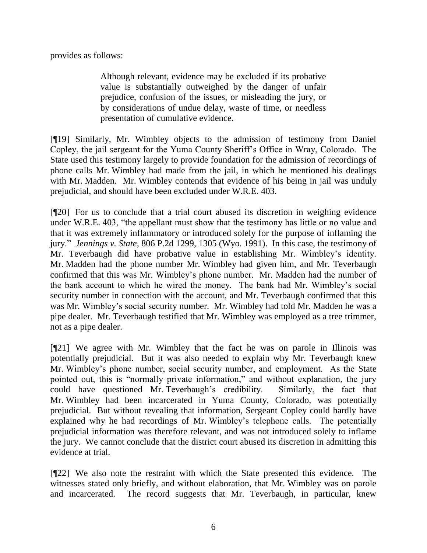provides as follows:

Although relevant, evidence may be excluded if its probative value is substantially outweighed by the danger of unfair prejudice, confusion of the issues, or misleading the jury, or by considerations of undue delay, waste of time, or needless presentation of cumulative evidence.

[¶19] Similarly, Mr. Wimbley objects to the admission of testimony from Daniel Copley, the jail sergeant for the Yuma County Sheriff"s Office in Wray, Colorado. The State used this testimony largely to provide foundation for the admission of recordings of phone calls Mr. Wimbley had made from the jail, in which he mentioned his dealings with Mr. Madden. Mr. Wimbley contends that evidence of his being in jail was unduly prejudicial, and should have been excluded under W.R.E. 403.

[¶20] For us to conclude that a trial court abused its discretion in weighing evidence under W.R.E. 403, "the appellant must show that the testimony has little or no value and that it was extremely inflammatory or introduced solely for the purpose of inflaming the jury." *Jennings v. State*, 806 P.2d 1299, 1305 (Wyo. 1991). In this case, the testimony of Mr. Teverbaugh did have probative value in establishing Mr. Wimbley"s identity. Mr. Madden had the phone number Mr. Wimbley had given him, and Mr. Teverbaugh confirmed that this was Mr. Wimbley"s phone number. Mr. Madden had the number of the bank account to which he wired the money. The bank had Mr. Wimbley"s social security number in connection with the account, and Mr. Teverbaugh confirmed that this was Mr. Wimbley"s social security number. Mr. Wimbley had told Mr. Madden he was a pipe dealer. Mr. Teverbaugh testified that Mr. Wimbley was employed as a tree trimmer, not as a pipe dealer.

[¶21] We agree with Mr. Wimbley that the fact he was on parole in Illinois was potentially prejudicial. But it was also needed to explain why Mr. Teverbaugh knew Mr. Wimbley"s phone number, social security number, and employment. As the State pointed out, this is "normally private information," and without explanation, the jury could have questioned Mr. Teverbaugh"s credibility. Similarly, the fact that Mr. Wimbley had been incarcerated in Yuma County, Colorado, was potentially prejudicial. But without revealing that information, Sergeant Copley could hardly have explained why he had recordings of Mr. Wimbley"s telephone calls. The potentially prejudicial information was therefore relevant, and was not introduced solely to inflame the jury. We cannot conclude that the district court abused its discretion in admitting this evidence at trial.

[¶22] We also note the restraint with which the State presented this evidence. The witnesses stated only briefly, and without elaboration, that Mr. Wimbley was on parole and incarcerated. The record suggests that Mr. Teverbaugh, in particular, knew